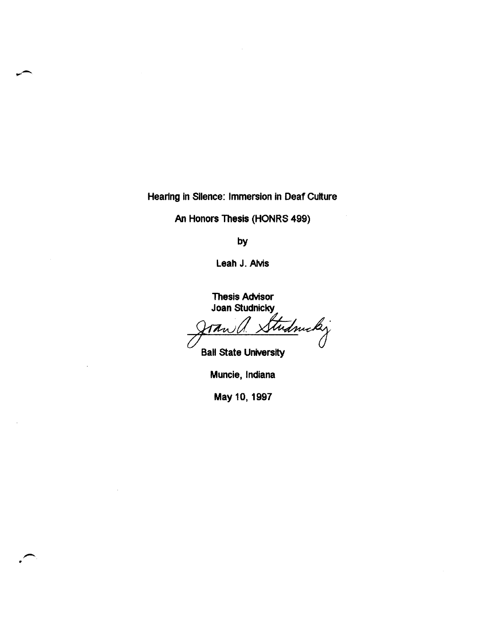Heartng in Silence: Immersion in Deaf Culture

An Honors Thesis (HONRS 499)

by

Leah J. AMs

Thesis Advisor Joan Studnicky

tudnický  $\frac{1}{\sqrt{1-\frac{1}{1-\frac{1}{1-\frac{1}{1-\frac{1}{1-\frac{1}{1-\frac{1}{1-\frac{1}{1-\frac{1}{1-\frac{1}{1-\frac{1}{1-\frac{1}{1-\frac{1}{1-\frac{1}{1-\frac{1}{1-\frac{1}{1-\frac{1}{1-\frac{1}{1-\frac{1}{1-\frac{1}{1-\frac{1}{1-\frac{1}{1-\frac{1}{1-\frac{1}{1-\frac{1}{1-\frac{1}{1-\frac{1}{1-\frac{1}{1-\frac{1}{1-\frac{1}{1-\frac{1}{1-\frac{1}{1-\frac{1}{1-\frac{1}{1-\frac{1}{1-\frac{1}{1-\$ 

Ball State University

Muncie, Indiana

May 10,1997

..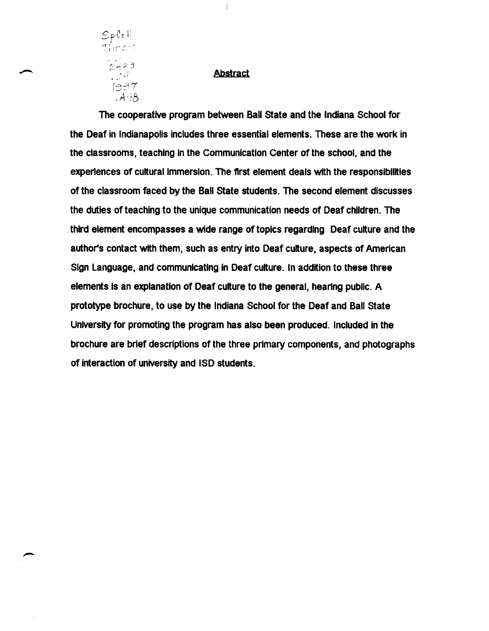

---.~-~----

# **Abstract**

 $\overline{\phantom{a}}$ 

The cooperative program between Ball State and the Indiana School for the Deaf in Indianapolis includes three essential elements. These are the work in the classrooms, teaching in the Communication Center of the school, and the experiences of cultural immersion. The first element deals with the responsibilities of the classroom faced by the Ball State students. The second element discusses the duties of teaching to the unique communication needs of Deaf children. The . third element encompasses a wide range of topics regarding Deaf culture and the author's contact with them, such as entry into Deaf culture, aspects of American Sign language, and communicating in Deaf culture. In addition to these three elements is an explanation of Deaf culture to the general, hearing public. A prototype brochure, to use by the Indiana School for the Deaf and Ball State University for promoting the program has also been produced. Included in the brochure are brief descriptions of the three primary components, and photographs of interaction of university and ISO students.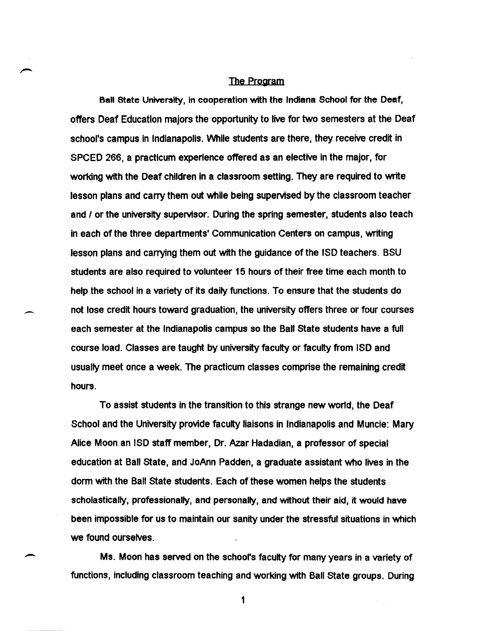#### The Program

Ball state University, in cooperation with the Indiana School for the Deaf, offers Deaf Education majors the opportunity to live for two semesters at the Deaf school's campus in Indianapolis. VVhile students are there, they receive credit in SPCED 266, a practicum experience offered as an elective in the major, for working with the Deaf children in a classroom setting. They are required to write lesson plans and carry them out while being supervised by the classroom teacher and *I* or the university supervisor. During the spring semester, students also teach in each of the three departments' Communication Centers on campus, writing lesson plans and carrying them out with the guidance of the ISO teachers. BSU students are also required to volunteer 15 hours of their free time each month to help the school in a variety of its daily functions. To ensure that the students do not lose credit hours toward graduation, the university offers three or four courses each semester at the Indianapolis campus so the Ball State students have a full course load. Classes are taught by university faculty or faculty from ISO and usually meet once a week. The practicum classes comprise the remaining credit hours.

-

-

To assist students in the transition to this strange new wor1d, the Deaf School and the University provide faculty liaisons in Indianapolis and Muncie: Mary Alice Moon an ISO staff member, Dr. Azar Hadadian, a professor of special education at Ball state, and JoAnn Padden, a graduate assistant who lives in the dorm with the Ball state students. Each of these women helps the students scholastically, professionally, and personally, and without their aid, it would have been impossible for us to maintain our sanity under the stressful situations in which we found ourselves.

Ms. Moon has served on the school's faculty for many years in a variety of functions, including classroom teaching and working with Ball state groups. During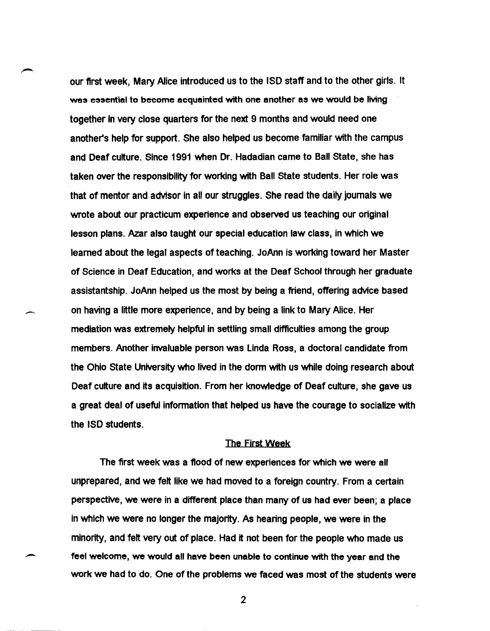our first week. Mary Alice introduced us to the ISO staff and to the other girls. It was essential to become acquainted with one another as we would be living together In very close quarters for the next 9 months and would need one another's help for support. She also helped us become familiar with the campus and Deaf culture. Since 1991 when Dr. Hadadian came to Ball State. she has taken over the responsibility for working with Ball State students. Her role was that of mentor and advisor in all our struggles. She read the daily journals we wrote about our practicum experience and observed us teaching our original lesson plans. Azar also taught our special education law class. in which we learned about the legal aspects of teaching. JoAnn is working toward her Master of Science in Deaf Education. and works at the Deaf School through her graduate assistantship. JoAnn helped us the most by being a friend, offering advice based on having a little more experience. and by being a link to Mary Alice. Her mediation was extremely helpful in settling small difficulties among the group members. Another invaluable person was Linda Ross. a doctoral candidate from the Ohio State University who lived in the dorm with us while doing research about Deaf culture and its acquisition. From her knowledge of Deaf culture. she gave us a great deal of useful information that helped us have the courage to socialize with the ISO students.

,~

--

-

### The First Week

The first week was a flood of new experiences for which we were all unprepared. and we felt like we had moved to a foreign country. From a certain perspective. we were in a different place than many of us had ever been; a place in which we were no longer the majority. As hearing people. we were in the minority. and felt very out of place. Had it not been for the people who made us feel welcome. we would all have been unable to continue with the year and the work we had to do. One of the problems we faced was most of the students were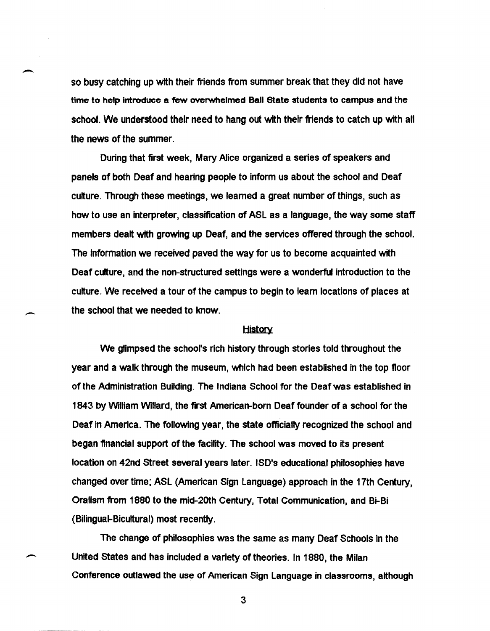so busy catching up with their friends from summer break that they did not have time to help introduce a few overwhelmed Ball state students to campus and the school. We understood their need to hang out with their friends to catch up with all the news of the summer.

-

-

During that first week, Mary Alice organized a series of speakers and panels of both Deaf and hearing people to inform us about the school and Deaf culture. Through these meetings, we learned a great number of things, such as how to use an interpreter, classification of ASL as a language, the way some staff members dealt with growing up Deaf, and the services offered through the school. The information we received paved the way for us to become acquainted with Deaf culture, and the non-structured settings were a wonderful introduction to the culture. We received a tour of the campus to begin to learn locations of places at the school that we needed to know.

### **History**

We glimpsed the school's rich history through stories told throughout the year and a walk through the museum, which had been established in the top floor of the Administration Building. The Indiana School for the Deaf was established in 1843 by William Willard, the first American-born Deaf founder of a school for the Deaf in America. The following year, the state officially recognized the school and began financial support of the facility. The school was moved to its present location on 42nd street several years later. ISD's educational philosophies have changed over time; ASL (American Sign Language) approach in the 17th Century, Orallsm from 1880 to the mid-20th Century, Total Communication, and Bi-Bi (Bilingual-Bicultural) most recently.

The change of philosophies was the same as many Deaf Schools in the United states and has Included a variety of theories. In 1880, the Milan Conference outlawed the use of American Sign Language in classrooms, although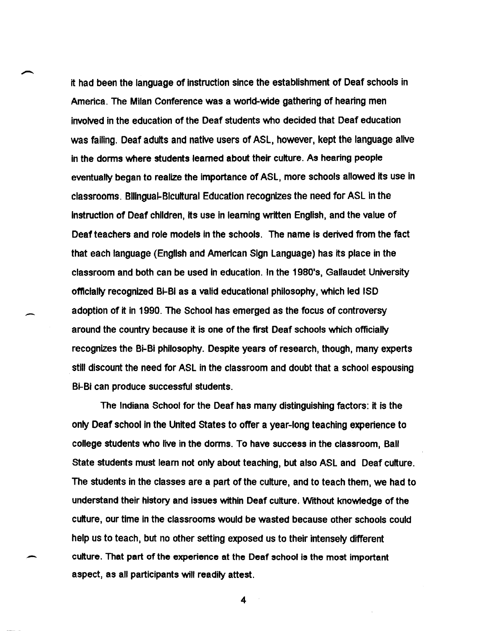it had been the language of instruction since the establishment of Deaf schools in America. The Milan Conference was a world-wide gathering of hearing men involved in the education of the Deaf students who decided that Deaf education was failing. Deaf adults and native users of ASL, however, kept the language alive in the dorms where students learned about their culture. As hearing people eventually began to realize the importance of ASL, more schools allowed its use in classrooms. Bilingual-Bicultural Education recognizes the need for ASL in the Instruction of Deaf children, its use in learning written English, and the value of Deaf teachers and role models in the schools. The name is derived from the fact that each language (English and American Sign Language) has its place in the classroom and both can be used in education. In the 1980's, Gallaudet University ofncially recognized Bi-Bi as a valid educational philosophy, which led ISD adoption of it in 1990. The School has emerged as the focus of controversy around the country because it is one of the first Deaf schools which officially recognizes the Bi-Bi philosophy. Despite years of research, though, many experts still discount the need for ASL in the classroom and doubt that a school espousing Bi-Bi can produce successful students.

-

The Indiana School for the Deaf has many distinguishing factors: it is the only Deaf school in the United States to offer a year-long teaching experience to college students who live in the dorms. To have success in the classroom, Ball State students must learn not only about teaching, but also ASL and Deaf culture. The students in the classes are a part of the culture, and to teach them, we had to understand their history and issues within Deaf culture. Without knowledge of the culture, our time in the classrooms would be wasted because other schools could help us to teach, but no other setting exposed us to their intensely different - culture. That part of the experience at the Deaf school is the most important aspect, as all participants will readily attest.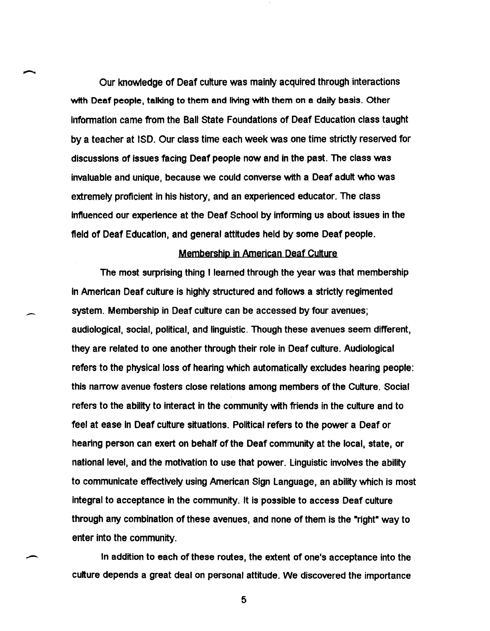Our knowledge of Deaf culture was mainly acquired through interactions with Deaf people. talking to them and living with them on a daily basis. Other Information came from the Ball State Foundations of Deaf Education class taught by a teacher at ISO. Our class time each week was one time strictly reserved for discussions of issues facing Deaf people now and in the past. The class was invaluable and unique. because we could converse with a Deaf adult who was extremely proficient in his history. and an experienced educator. The class influenced our experience at the Deaf School by informing us about issues in the field of Deaf Education. and general attitudes held by some Deaf people.

# Membership in American Deaf Culture

The most surprising thing I learned through the year was that membership In American Deaf culture is highly structured and follows a strictly regimented system. Membership in Deaf culture can be accessed by four avenues; audiological. social. political. and linguistic. Though these avenues seem different. they are related to one another through their role in Deaf culture. Audiological refers to the physical loss of hearing which automatically excludes hearing people: this narrow avenue fosters close relations among members of the Culture. Social refers to the ability to interact in the community with friends in the culture and to feel at ease in Deaf culture situations. Political refers to the power a Deaf or hearing person can exert on behalf of the Deaf community at the local, state, or national level, and the motivation to use that power. Linguistic involves the ability to communicate effectively using American Sign Language, an ability which is most integral to acceptance in the community. It is possible to access Deaf culture through any combination of these avenues, and none of them is the "right" way to enter into the community.

 $\overline{\phantom{0}}$ 

 $\overline{\phantom{a}}$ 

In addition to each of these routes, the extent of one's acceptance into the culture depends a great deal on personal attitude. We discovered the importance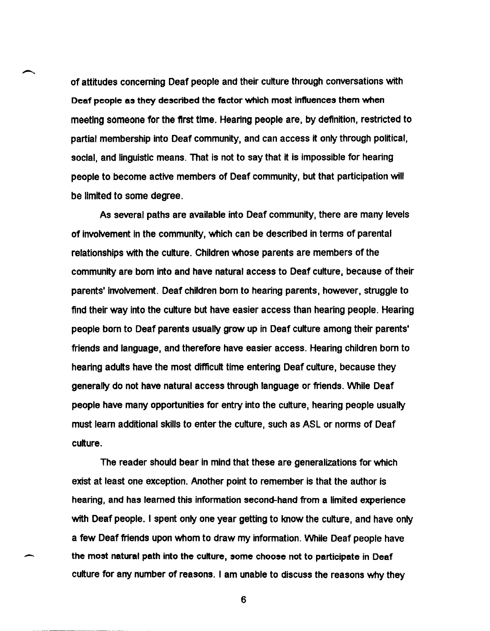of attitudes concerning Deaf people and their culture through conversations with Deaf people as they described the factor which most influences them when meeting someone for the ftrst time. Heartng people are, by definition, restricted to partial membership into Deaf community, and can access it only through political. social, and linguistic means. That is not to say that it is impossible for hearing people to become active members of Deaf community. but that participation will be limited to some degree.

As several paths are available into Deaf community, there are many levels of involvement in the community. which can be described in terms of parental relationships with the culture. Children whose parents are members of the community are born into and have natural access to Deaf culture. because of their parents' Involvement. Deaf children born to hearing parents. however, struggle to find their way into the culture but have easier access than hearing people. Hearing people born to Deaf parents usually grow up in Deaf culture among their parents' friends and language, and therefore have easier access. Hearing children born to hearing adults have the most difficult time entering Deaf culture, because they generally do not have natural access through language or friends. While Deaf people have many opportunities for entry into the culture. hearing people usually must learn additional skills to enter the culture, such as ASL or norms of Deaf culture.

The reader should bear in mind that these are generalizations for which exist at least one exception. Another point to remember is that the author is hearing, and has learned this information second-hand from a limited experience with Deaf people. I spent only one year getting to know the culture, and have only a few Deaf friends upon whom to draw my information. While Deaf people have the most natural path into the culture, some choose not to participate in Deaf culture for any number of reasons. I am unable to discuss the reasons why they

-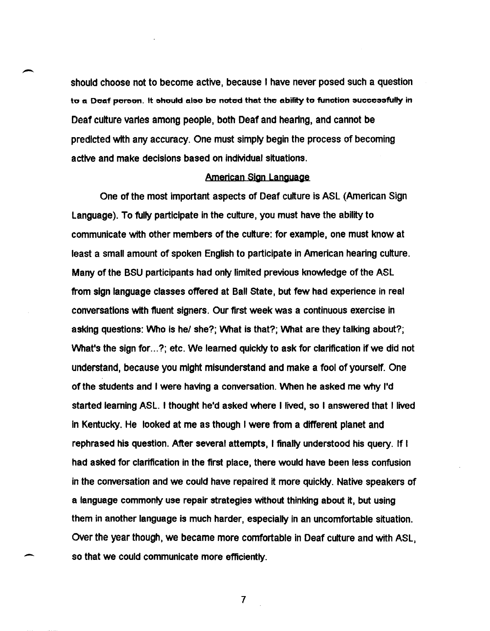should choose not to become active, because I have never posed such a question to a Doaf porson. It should also be noted that the ability to function successfully in Deaf culture varies among people, both Deaf and hearing, and cannot be predicted wtth any accuracy. One must simply begin the process of becoming active and make decisions based on individual situations.

### American Sign Language

One of the most important aspects of Deaf culture is ASL (American Sign Language). To fully participate in the culture, you must have the ability to communicate with other members of the culture: for example, one must know at least a small amount of spoken English to participate in American hearing culture. Many of the BSU participants had only limited previous knowledge of the ASL from sign language classes offered at Ball state, but few had experience in real conversations with fluent signers. Our first week was a continuous exercise in asking questions: Who is he/ she?; What is that?; What are they talking about?; What's the sign for ...?; etc. We learned quickly to ask for clarification if we did not understand, because you might misunderstand and make a fool of yourself. One of the students and I were having a conversation. When he asked me why lid started learning ASL. I thought held asked where I lived, so I answered that I lived in Kentucky. He looked at me as though I were from a different planet and rephrased his question. After several attempts, I finally understood his query. If I had asked for clarification in the first place, there would have been less confusion in the conversation and we could have repaired it more quickly. Native speakers of a language commonly use repair strategies without thinking about it, but using them in another language is much harder, especially in an uncomfortable situation. OVer the year though, we became more comfortable in Deaf culture and with ASL, so that we could communicate more efficiently.

7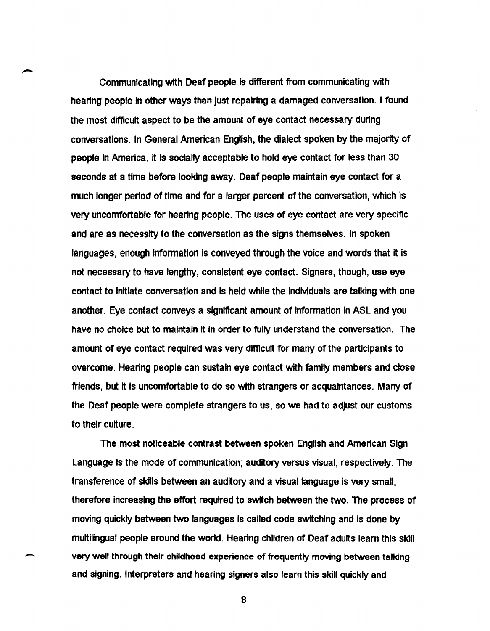Communicating with Deaf people is different from communicating with hearing people In other ways than just repairing a damaged conversation. I found the most difficult aspect to be the amount of eye contact necessary during conversations. In General American English, the dialect spoken by the majority of people In America, It Is socially acceptable to hold eye contact for less than 30 seconds at a time before looking away. Deaf people maintain eye contact for a much longer period of time and for a larger percent of the conversation, which is very uncomfortable for hearing people. The uses of eye contact are very specific and are as necessity to the conversation as the signs themselves. In spoken languages, enough information is conveyed through the voice and words that it is not necessary to have lengthy, consistent eye contact. Signers, though, use eye contact to Initiate conversation and Is held while the individuals are talking with one another. Eye contact conveys a significant amount of information in ASL and you have no choice but to maintain it in order to fully understand the conversation. The amount of eye contact required was very difficult for many of the participants to overcome. Hearing people can sustain eye contact with family members and close friends, but it is uncomfortable to do so with strangers or acquaintances. Many of the Deaf people were complete strangers to us, so we had to adjust our customs to their culture.

The most noticeable contrast between spoken English and American Sign Language is the mode of communication; auditory versus visual, respectively. The transference of skills between an auditory and a visual language is very small, therefore increasing the effort required to switch between the two. The process of moving quickly between two languages is called code switching and is done by multilingual people around the world. Hearing children of Deaf adults learn this skill very well through their childhood experience of frequently moving between talking and signing. Interpreters and hearing signers also learn this skill quickly and

8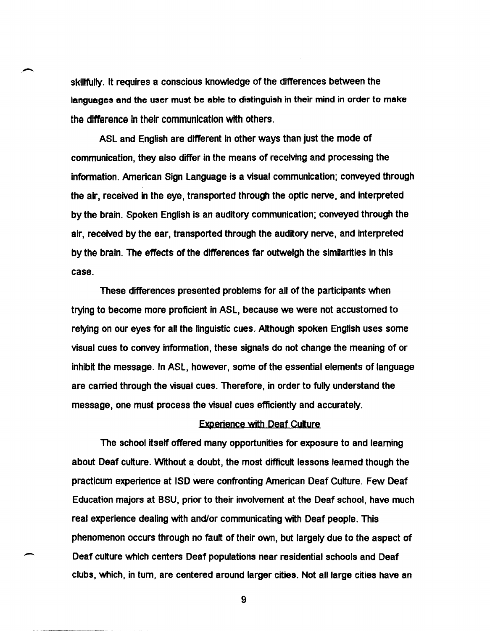skillfully. It requires a conscious knowledge of the differences between the languages and the user must be able to distinguish in their mind in order to make the difference In their communication wtth others.

-

-

ASL and English are different in other ways than just the mode of communication, they also differ in the means of receiving and processing the information. American Sign Language is a visual communication; conveyed through the air, received In the eye, transported through the optic nerve, and interpreted by the brain. Spoken English is an auditory communication; conveyed through the air. received by the ear, transported through the auditory nerve, and interpreted by the brain. The effects of the differences far outweigh the similarities in this case.

These differences presented problems for all of the participants when trying to become more proficient in ASL, because we were not accustomed to relying on our eyes for all the linguistic cues. Although spoken English uses some visual cues to convey information, these signals do not change the meaning of or Inhibit the message. In ASL, however, some of the essential elements of language are carried through the visual cues. Therefore, in order to fully understand the message, one must process the visual cues efficiently and accurately.

### Experience With Deaf Culture

The school itself offered many opportunities for exposure to and learning about Deaf culture. Wrthout a doubt. the most difficult lessons learned though the practlcum experience at ISO were confronting American Deaf Culture. Few Deaf Education majors at BSU, prior to their involvement at the Deaf school, have much real experience dealing With and/or communicating With Deaf people. This phenomenon occurs through no fault of their own. but largely due to the aspect of Deaf culture which centers Deaf populations near residential schools and Deaf clubs. which, in tum, are centered around larger cities. Not all large cities have an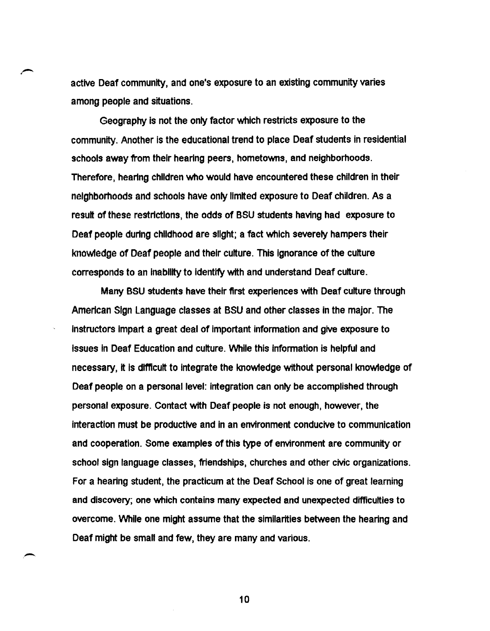active Deaf community, and one's exposure to an existing community varies among people and situations.

Geography is not the only factor which restricts exposure to the community. Another is the educational trend to place Deaf students in residential schools away from their hearing peers, hometowns, and neighborhoods. Therefore, hearing children who would have encountered these children in their neighborhoods and schools have only limited exposure to Deaf children. As a result of these restrictions, the odds of BSU students having had exposure to Deaf people during childhood are slight; a fact which severely hampers their knowledge of Deaf people and their culture. This Ignorance of the culture corresponds to an Inability to Identify with and understand Deaf culture.

Many BSU students have their first experiences with Deaf culture through American Sign Language classes at BSU and other classes in the major. The Instructors Impart a great deal of Important information and give exposure to Issues In Deaf Education and culture. VVhile this information is helpful and necessary, it is difficult to integrate the knowledge without personal knowledge of Deaf people on a personal level: integration can only be accomplished through personal exposure. Contact with Deaf people is not enough, however, the interaction must be productive and in an environment conducive to communication and cooperation. Some examples of this type of environment are community or school sign language classes, friendships, churches and other civic organizations. For a hearing student, the practicum at the Deaf School is one of great learning and discovery; one which contains many expected and unexpected difficulties to overcome. VVhile one might assume that the similarities between the hearing and Deaf might be small and few, they are many and various.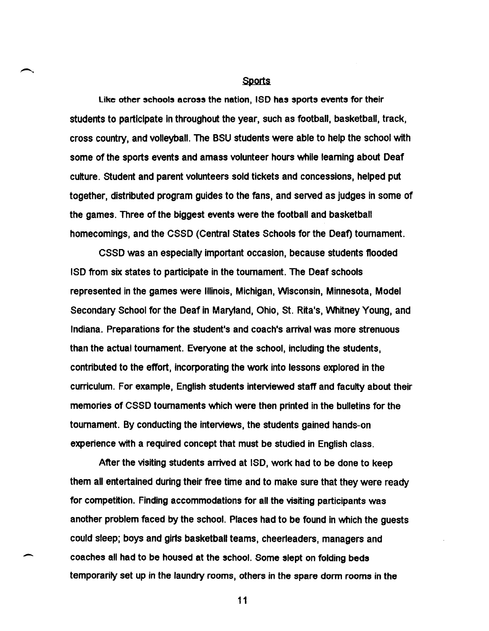#### **Sports**

like other schools across the nation, ISO has sports events for their students to participate in throughout the year, such as football, basketball, track, cross country, and volleyball. The BSU students were able to help the school with some of the sports events and amass volunteer hours while learning about Deaf culture. Student and parent volunteers sold tickets and concessions, helped put together, distributed program guides to the fans, and served as judges in some of the games. Three of the biggest events were the football and basketball homecomings, and the CSSD (Central States Schools for the Deaf) tournament.

eSSD was an especially important occaSion, because students flooded ISD from six states to participate in the tournament. The Deaf schools represented in the games were Illinois, Michigan, Wisconsin, Minnesota, Model Secondary School for the Deaf in Maryland, Ohio, st. Rita's, Whitney Young, and Indiana. Preparations for the student's and coach's arrival was more strenuous than the actual tournament. Everyone at the school, including the students, contributed to the effort, incorporating the work into lessons explored in the curriculum. For example, English students interviewed staff and faculty about their memories of CSSD tournaments which were then printed in the bulletins for the tournament. By conducting the interviews, the students gained hands-on experience with a required concept that must be studied in English class.

After the visiting students arrived at ISO, work had to be done to keep them all entertained during their free time and to make sure that they were ready for competition. Finding accommodations for all the visiting participants was another problem faced by the school. Places had to be found in which the guests could sleep; boys and girls basketball teams, cheerleaders, managers and coaches all had to be housed at the school. Some slept on folding beds temporarily set up in the laundry rooms, others in the spare dorm rooms in the

-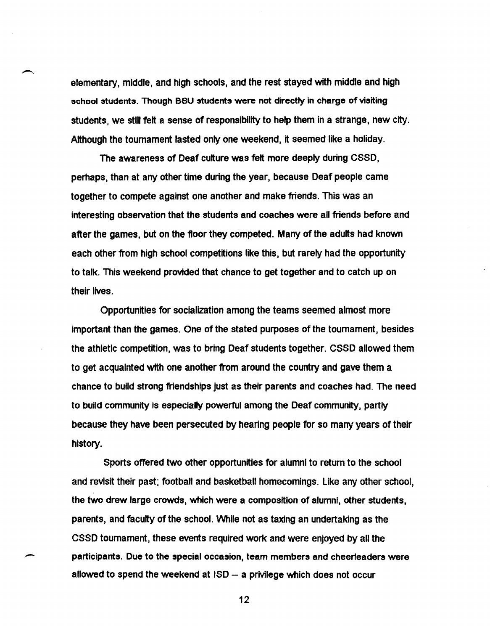elementary, middle, and high schools, and the rest stayed with middle and high school students. Though BSU students were not directly in charge of visiting students, we stili felt a sense of responsibility to help them in a strange, new city. Although the tournament lasted only one weekend, it seemed like a holiday.

-.

-

The awareness of Deaf culture was felt more deeply during CSSD, perhaps, than at any other time during the year, because Deaf people came together to compete against one another and make friends. This was an interesting observation that the students and coaches were all friends before and after the games, but on the floor they competed. Many of the adults had known each other from high school competitions like this, but rarely had the opportunity to talk. This weekend provided that chance to get together and to catch up on their liVes.

Opportunities for socialization among the teams seemed almost more important than the games. One of the stated purposes of the tournament, besides the athletic competition, was to bring Deaf students together. CSSD allowed them to get acquainted with one another from around the country and gave them a chance to build strong friendships just as their parents and coaches had. The need to build community is especially powerful among the Deaf community, partly because they have been persecuted by hearing people for so many years of their history.

Sports offered two other opportunities for alumni to return to the school and revisit their past; football and basketball homecomings. like any other school, the two drew large crowds, which were a composition of alumni, other students, parents, and faculty of the school. While not as taxing an undertaking as the CSSD tournament, these events required work and were enjoyed by all the participants. Due to the special occasion, team members and cheerleaders were allowed to spend the weekend at ISO - a privilege which does not occur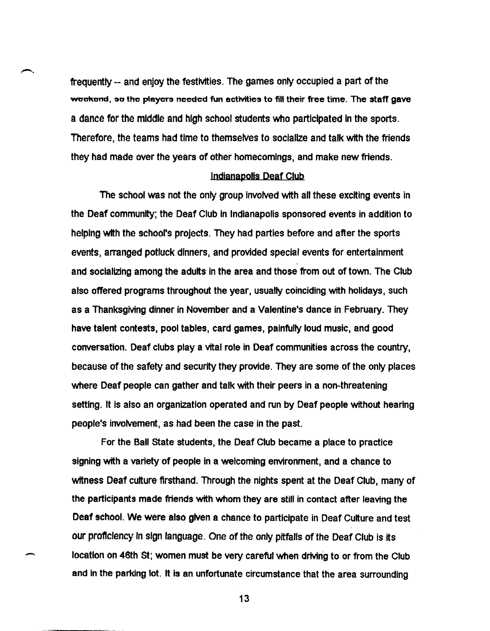frequently -- and enjoy the festivities. The games only occupied a part of the weekend, so the players needed fun activities to fill their free time. The staff gave a dance for the middle and high school students who participated In the sports. Therefore, the teams had time to themselves to socialize and talk with the friends they had made over the years of other homecomings, and make new friends.

### Indianapolis Deaf Club

The school was not the only group involved with all these exciting events in the Deaf community; the Deaf Club in Indianapolis sponsored events in addition to helping with the school's projects. They had parties before and after the sports events, arranged potluck dinners, and provided special events for entertainment and socializing among the adults in the area and those from out of town. The Club also offered programs throughout the year, usually coinciding with holidays, such as a Thanksgiving dinner in November and a Valentine's dance in February. They have talent contests, pool tables, card games, painfully loud music, and good conversation. Deaf clubs playa vital role in Deaf communities across the country, because of the safety and security they provide. They are some of the only places where Deaf people can gather and talk with their peers in a non-threatening setting. It is also an organization operated and run by Deaf people without hearing people's involvement, as had been the case in the past.

For the Ball State students, the Deaf Club became a place to practice signing with a variety of people in a welcoming environment, and a chance to witness Deaf culture firsthand. Through the nights spent at the Deaf Club, many of the participants made friends with whom they are still in contact after leaving the Deaf school. We were also given a chance to participate in Deaf Culture and test our proficiency In sign language. One of the only pitfalls of the Deaf Club is its location on 46th St; women must be very careful when driving to or from the Club and in the parking lot. It is an unfortunate circumstance that the area surrounding

13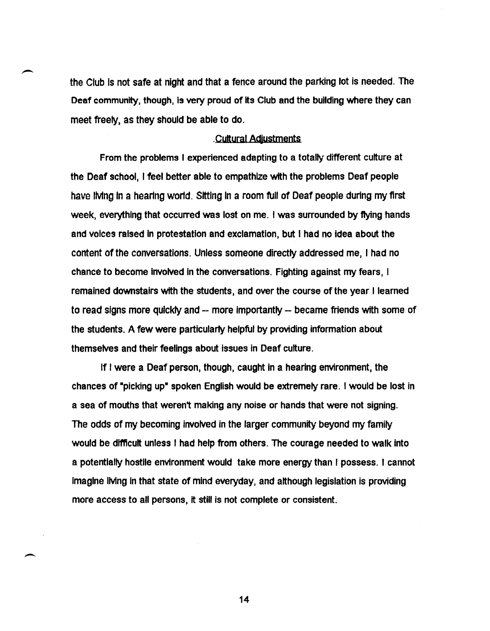the Club Is not safe at night and that a fence around the parking lot is needed. The Deaf community, though, is very proud of its Club and the building where they can meet freely, as they should be able to do.

### . Cultural Adiustments

From the problems I experienced adapting to a totally different culture at the Deaf school, I feel better able to empathize with the problems Deaf people have IMng In a hearing world. Sitting In a room full of Deaf people during my first week, everything that occurred was lost on me. I was surrounded by flying hands and voices raised In protestation and exclamation, but I had no idea about the content of the conversations. Unless someone directly addressed me, I had no chance to become involved in the conversations. Fighting against my fears, I remained downstairs with the students, and over the course of the year I learned to read signs more quickly and -- more importantly -- became friends with some of the students. A few were particularty helpful by providing information about themselves and their feelings about issues in Deaf culture.

If I were a Deaf person, though, caught in a hearing environment, the chances of "picking up" spoken English would be extremely rare. I would be lost in a sea of mouths that weren't making any noise or hands that were not signing. The odds of my becoming involved in the larger community beyond my family would be difficult unless I had help from others. The courage needed to walk into a potentially hostile environment would take more energy than I possess. I cannot Imagine IMng In that state of mind everyday, and although legislation is providing more access to all persons, it still is not complete or consistent.

14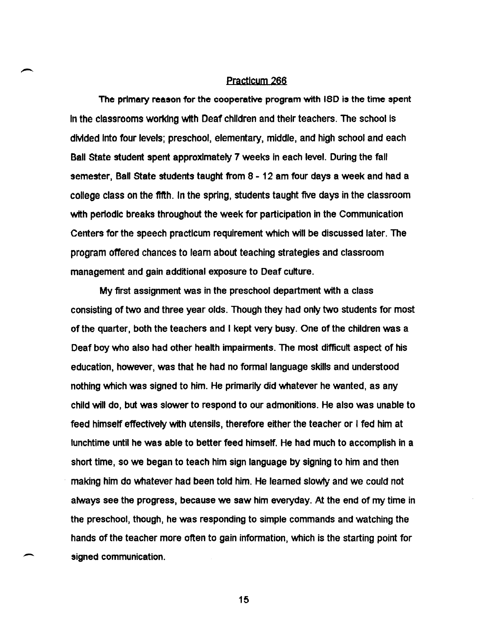# Practlcum 266

The primary reason for the cooperative program with ISO is the time spent In the classrooms working with Deaf children and their teachers. The school is dMded Into four levels; preschool, elementary, middle, and high school and each Ball state student spent approximately 7 weeks in each level. During the fall semester, Ball state students taught from 8 - 12 am four days a week and had a college class on the fifth. In the spring, students taught five days in the classroom with periodic breaks throughout the week for participation in the Communication Centers for the speech practlcum requirement which will be discussed later. The program offered chances to learn about teaching strategies and classroom management and gain additional exposure to Deaf culture.

My first assignment was in the preschool department with a class consisting of two and three year olds. Though they had only two students for most of the quarter, both the teachers and I kept very busy. One of the children was a Deaf boy who also had other health impairments. The most difficult aspect of his education, however, was that he had no formal language skills and understood nothing which was signed to him. He primarily did whatever he wanted, as any child will do, but was slower to respond to our admonitions. He also was unable to feed himself effectively with utensils, therefore either the teacher or I fed him at lunchtime until he was able to better feed himself. He had much to accomplish in a short time, so we began to teach him sign language by signing to him and then making him do whatever had been told him. He learned slowly and we could not always see the progress, because we saw him everyday. At the end of my time in the preschool, though, he was responding to simple commands and watching the hands of the teacher more often to gain information, which is the starting point for signed communication.

15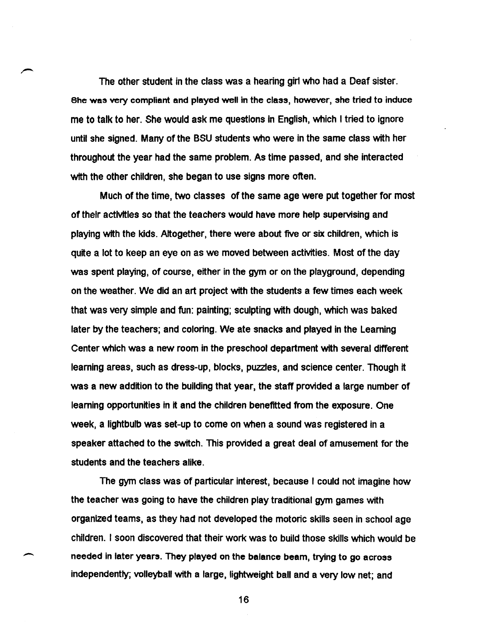The other student in the class was a hearing girl who had a Deaf sister. She was very compliant and played well in the class, however, she tried to induce me to talk to her. She would ask me questions in English, which I tried to ignore until she signed. Many of the BSU students who were in the same class with her throughout the year had the same problem. As time passed. and she interacted with the other children, she began to use signs more often.

Much of the time. two classes of the same age were put together for most of their activities so that the teachers would have more help supervising and playing with the kids. Altogether. there were about five or six children. which is quite a lot to keep an eye on as we moved between activities. Most of the day was spent playing. of course. either in the gym or on the playground, depending on the weather. We did an art project with the students a few times each week that was very simple and fun: painting; sculpting with dough. which was baked later by the teachers; and coloring. We ate snacks and played in the Learning Center which was a new room in the preschool department with several different learning areas, such as dress-up, blocks, puzzles, and science center. Though it was a new addition to the building that year. the staff provided a large number of learning opportunities in it and the children benefitted from the exposure. One week, a lightbulb was set-up to come on when a sound was registered in a speaker attached to the switch. This provided a great deal of amusement for the students and the teachers alike.

The gym class was of particular interest. because I could not imagine how the teacher was going to have the children play traditional gym games with organized teams, as they had not developed the motoric skills seen in school age children. I soon discovered that their work was to build those skills which would be needed in later years. They played on the balance beam, trying to go across independently; volleyball with a large, lightweight ball and a very low net; and

 $\overline{\phantom{0}}$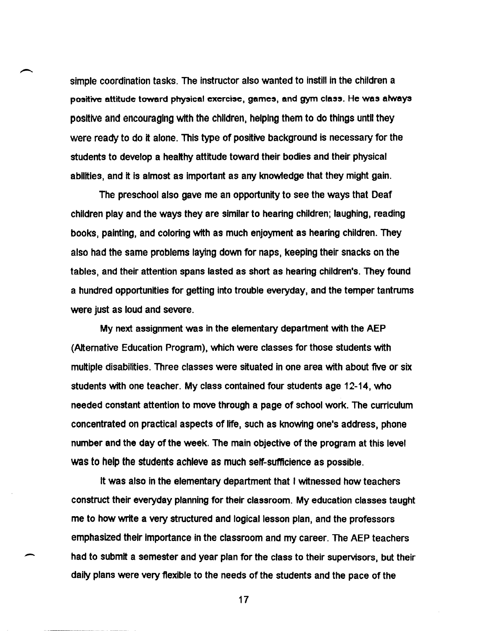simple coordination tasks. The instructor also wanted to instill in the children a positive attitude toward physical exercise, games, and gym class. He was always positive and encouraging with the children, helping them to do things until they were ready to do it alone. This type of positive background is necessary for the students to develop a healthy attitude toward their bodies and their physical abilities, and it is almost as Important as any knowledge that they might gain.

The preschool also gave me an opportunity to see the ways that Deaf children play and the ways they are similar to hearing children; laughing, reading books, painting, and coloring with as much enjoyment as hearing children. They also had the same problems laying down for naps, keeping their snacks on the tables, and their attention spans lasted as short as hearing children's. They found a hundred opportunities for getting into trouble everyday, and the temper tantrums were just as loud and severe.

My next assignment was in the elementary department with the AEP (Alternative Education Program), which were classes for those students with multiple disabilities. Three classes were situated in one area with about five or six students with one teacher. My class contained four students age 12-14, who needed constant attention to move through a page of school work. The curriculum concentrated on practical aspects of life, such as knowing one's address, phone number and the day of the week. The main objective of the program at this level was to help the students achieve as much self-sufficience as possible.

It was also in the elementary department that I witnessed how teachers construct their everyday planning for their classroom. My education classes taught me to how write a very structured and logical lesson plan, and the professors emphasized their importance in the classroom and my career. The AEP teachers had to submit a semester and year plan for the class to their supervisors, but their daily plans were very flexible to the needs of the students and the pace of the

 $\overline{\phantom{0}}$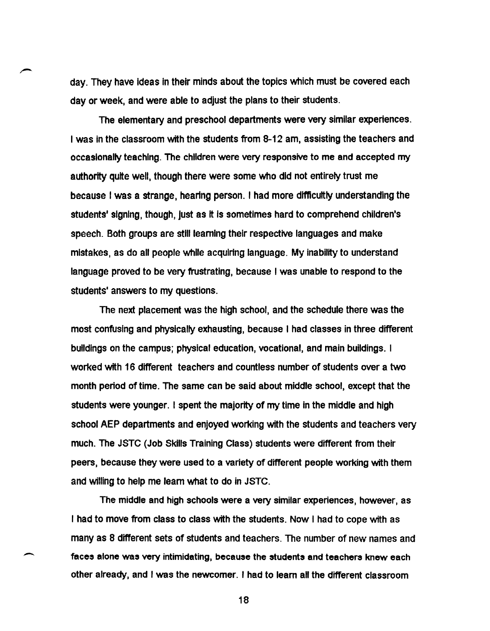day. They have ideas in their minds about the topics which must be covered each day or week. and were able to adjust the plans to their students.

The elementary and preschool departments were very similar experiences. I was in the classroom with the students from 8-12 am, assisting the teachers and occasionally teaching. The children were very responsive to me and accepted my authority quite well, though there were some who did not entirely trust me because I was a strange, hearing person. I had more difficultly understanding the students' signing, though, just as It Is sometimes hard to comprehend children's speech. Both groups are stili learning their respective languages and make mistakes, as do all people while acquiring language. My inability to understand language proved to be very frustrating, because I was unable to respond to the students' answers to my questions.

The next placement was the high school, and the schedule there was the most confusing and physically exhausting, because I had classes in three different buildings on the campus; physical education, vocational, and main buildings. I worked with 16 different teachers and countless number of students over a two month period of time. The same can be said about middle school, except that the students were younger. I spent the majority of my time in the middle and high school AEP departments and enjoyed working with the students and teachers very much. The JSTC (Job Skills Training Class) students were different from their peers, because they were used to a variety of different people working with them and willing to help me learn what to do in JSTC.

The middle and high schools were a very similar experiences, however, as I had to move from class to class with the students. Now I had to cope with as many as 8 different sets of students and teachers. The number of new names and faces alone was very intimidating, because the students and teachers knew each other already, and I was the newcomer. I had to learn all the different classroom

-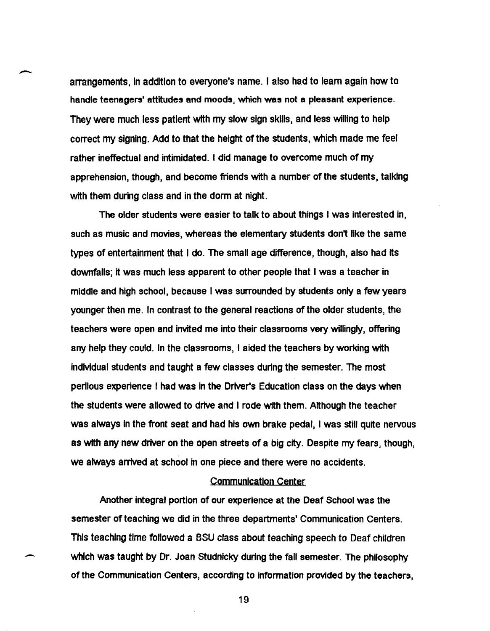arrangements, In addition to everyone's name. I also had to learn again how to handle teenagers' attitudes and moods, which was not a pleasant experience. They were much less patient with my slow sign skills, and less willing to help correct my signing. Add to that the height of the students, which made me feel rather ineffectual and intimidated. I did manage to overcome much of my apprehension, though, and become friends with a number of the students. talking with them during class and in the dorm at night.

The older students were easier to talk to about things I was interested in, such as music and movies. whereas the elementary students don't like the same types of entertainment that I do. The small age difference. though, also had its downfalls; it was much less apparent to other people that I was a teacher in middle and high school, because I was surrounded by students only a few years younger then me. In contrast to the general reactions of the older students, the teachers were open and invited me into their classrooms very willingly. offering any help they COUld. In the classrooms, I aided the teachers by working with individual students and taught a few classes during the semester. The most perilous experience I had was in the Driver's Education class on the days when the students were allowed to drive and I rode with them. Although the teacher was always In the front seat and had his own brake pedal. I was still quite nervous as with any new driver on the open streets of a big city. Despite my fears. though. we always arrived at school In one piece and there were no accidents.

# Communication Center

Another integral portion of our experience at the Deaf School was the semester of teaching we did in the three departments' Communication Centers. This teaching time followed a BSU class about teaching speech to Deaf children which was taught by Dr. Joan Studnicky during the fall semester. The philosophy of the Communication Centers. according to information provided by the teachers.

-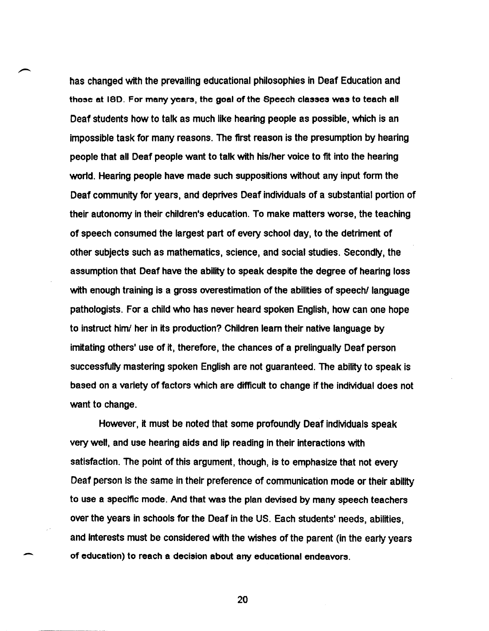has changed with the prevailing educational philosophies in Deaf Education and those at ISD. For many years, the goal of the Speech classes was to teach all Deaf students how to talk as much like hearing people as possible, which is an impossible task for many reasons. The first reason is the presumption by hearing people that all Deaf people want to talk with his/her voice to fit into the hearing world. Hearing people have made such suppositions without any input form the Deaf community for years, and deprives Deaf individuals of a substantial portion of their autonomy in their children's education. To make matters worse, the teaching of speech consumed the largest part of every school day, to the detriment of other subjects such as mathematics, SCience, and social studies. Secondly, the assumption that Deaf have the ability to speak despite the degree of hearing loss with enough training is a gross overestimation of the abilities of speech/ language pathologists. For a child who has never heard spoken English, how can one hope to instruct him! her in its production? Children learn their native language by imitating others' use of it, therefore, the chances of a prelingually Deaf person successfully mastering spoken English are not guaranteed. The ability to speak is based on a variety of factors which are difficult to change if the individual does not want to change.

However, it must be noted that some profoundly Deaf individuals speak very well, and use hearing aids and lip reading in their interactions with satisfaction. The point of this argument, though, is to emphasize that not every Deaf person is the same in their preference of communication mode or their ability to use a specific mode. And that was the plan devised by many speech teachers over the years in schools for the Deaf in the US. Each students' needs, abilities, and interests must be considered with the wishes of the parent (in the early years of education) to reach a decision about any educational endeavors.

20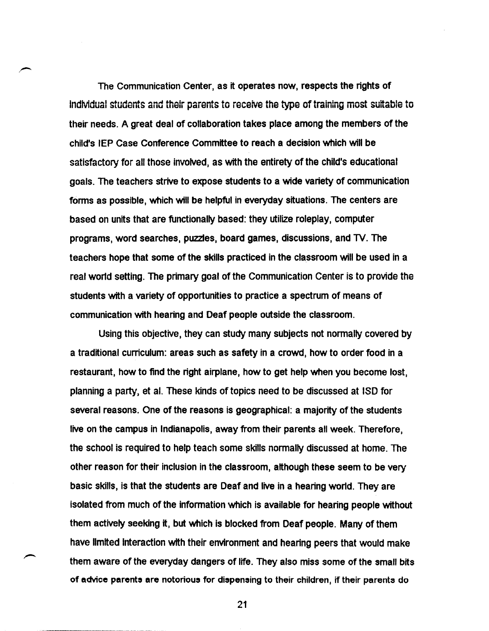The Communication Center, as it operates now, respects the rights of individual students and their parents to receive the type of training most suitable to their needs. A great deal of collaboration takes place among the members of the child's IEP Case Conference Committee to reach a decision which will be satisfactory for all those involved, as with the entirety of the child's educational goals. The teachers strive to expose students to a wide variety of communication forms as possible, which will be helpful in everyday situations. The centers are based on units that are functionally based: they utilize roleplay, computer programs, word searches, puzzles, board games, discussions, and TV. The teachers hope that some of the skills practiced in the classroom will be used in a real world setting. The primary goal of the Communication Center is to provide the students with a variety of opportunities to practice a spectrum of means of communication with hearing and Deaf people outside the classroom.

Using this objective, they can study many subjects not normally covered by a traditional curriculum: areas such as safety in a crowd, how to order food in a restaurant, how to find the right airplane, how to get help when you become lost, planning a party, et al. These kinds of topics need to be discussed at ISO for several reasons. One of the reasons is geographical: a majority of the students live on the campus in Indianapolis, away from their parents all week. Therefore, the school is required to help teach some skills normally discussed at home. The other reason for their inclusion in the classroom, although these seem to be very basic skills, is that the students are Deaf and live in a hearing wor1d. They are isolated from much of the information which is available for hearing people without them actively seeking it, but which is blocked from Deaf people. Many of them have limited interaction with their environment and hearing peers that would make them aware of the everyday dangers of life. They also miss some of the small bits of advice parents are notorious for dispensing to their children, if their parents do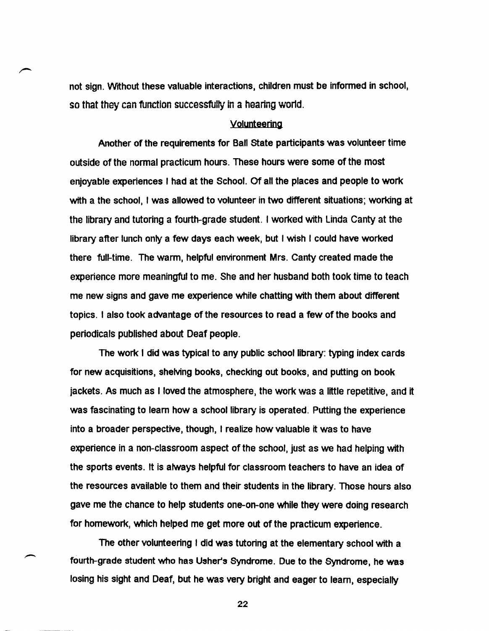not sign. Without these valuable interactions. children must be informed in school, so that they can function successfully in a hearing world.

# Volunteering

Another of the requirements for Ball state participants was volunteer time outside of the normal practicum hours. These hours were some of the most enjoyable experiences I had at the School. Of all the places and people to work with a the school. I was allowed to volunteer in two different situations; working at the library and tutoring a fourth-grade student. I worked with linda Canty at the library after lunch only a few days each week, but I wish I could have worked there full-time. The warm. helpful environment Mrs. Canty created made the experience more meaningful to me. She and her husband both took time to teach me new signs and gave me experience while chatting with them about different topics. I also took advantage of the resources to read a few of the books and periodicals published about Deaf people.

The work I did was typical to any public school library: typing index cards for new acquisitions, shelving books, checking out books, and putting on book jackets. As much as I loved the atmosphere. the work was a little repetitive, and it was fascinating to learn how a school library is operated. Putting the experience into a broader perspective. though, I realize how valuable it was to have experience in a non-classroom aspect of the school. just as we had helping with the sports events. It is always helpful for classroom teachers to have an idea of the resources available to them and their students in the library. Those hours also gave me the chance to help students one-an-one while they were doing research for homework, which helped me get more out of the practicum experience.

The other volunteering I did was tutoring at the elementary school with a fourth-grade student who has Usher's Syndrome. Due to the Syndrome. he was losing his sight and Deaf. but he was very bright and eager to learn, especially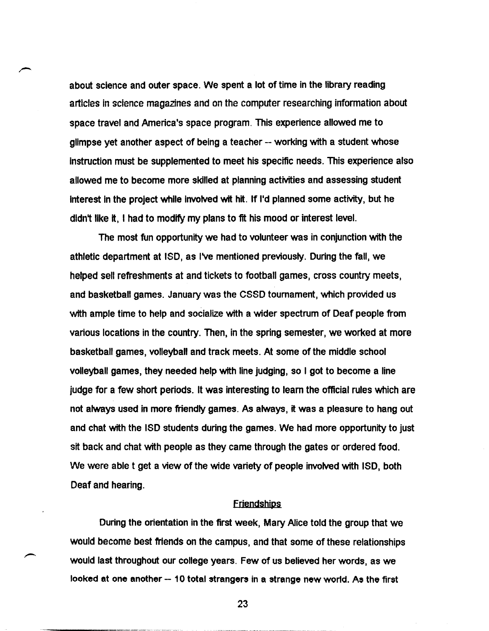about science and outer space. We spent a lot of time in the library reading articles in science magazines and on the computer researching information about space travel and America's space program. This experience allowed me to glimpse yet another aspect of being a teacher -- working with a student whose instruction must be supplemented to meet his specific needs. This experience also allowed me to become more skilled at planning activities and assessing student interest in the project while involved wit hit. If I'd planned some activity, but he didn't like it. I had to modify my plans to fit his mood or interest level.

The most fun opportunity we had to volunteer was in conjunction with the athletic department at ISO, as I've mentioned previously. During the fall, we helped sell refreshments at and tickets to football games, cross country meets, and basketball games. January was the CSSD tournament, which provided us with ample time to help and socialize with a wider spectrum of Deaf people from various locations in the country. Then, in the spring semester. we worked at more basketball games, volleyball and track meets. At some of the middle school volleyball games, they needed help with line judging, so I got to become a line judge for a few short periods. It was interesting to learn the official rules which are not always used in more friendly games. As always, it was a pleasure to hang out and chat with the ISO students during the games. We had more opportunity to just sit back and chat with people as they came through the gates or ordered food. We were able t get a view of the wide variety of people involved with ISO, both Deaf and hearing.

# **Friendships**

During the orientation in the first week, Mary Alice told the group that we would become best friends on the campus, and that some of these relationships would last throughout our college years. Few of us believed her words, as we looked at one another -- 10 total strangers in a strange new world. As the first